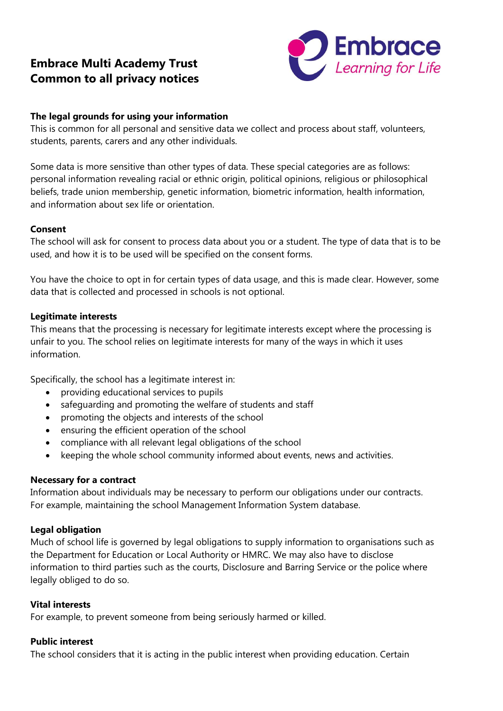# **Embrace Multi Academy Trust Common to all privacy notices**



## **The legal grounds for using your information**

This is common for all personal and sensitive data we collect and process about staff, volunteers, students, parents, carers and any other individuals.

Some data is more sensitive than other types of data. These special categories are as follows: personal information revealing racial or ethnic origin, political opinions, religious or philosophical beliefs, trade union membership, genetic information, biometric information, health information, and information about sex life or orientation.

## **Consent**

The school will ask for consent to process data about you or a student. The type of data that is to be used, and how it is to be used will be specified on the consent forms.

You have the choice to opt in for certain types of data usage, and this is made clear. However, some data that is collected and processed in schools is not optional.

#### **Legitimate interests**

This means that the processing is necessary for legitimate interests except where the processing is unfair to you. The school relies on legitimate interests for many of the ways in which it uses information.

Specifically, the school has a legitimate interest in:

- providing educational services to pupils
- safeguarding and promoting the welfare of students and staff
- promoting the objects and interests of the school
- ensuring the efficient operation of the school
- compliance with all relevant legal obligations of the school
- keeping the whole school community informed about events, news and activities.

#### **Necessary for a contract**

Information about individuals may be necessary to perform our obligations under our contracts. For example, maintaining the school Management Information System database.

#### **Legal obligation**

Much of school life is governed by legal obligations to supply information to organisations such as the Department for Education or Local Authority or HMRC. We may also have to disclose information to third parties such as the courts, Disclosure and Barring Service or the police where legally obliged to do so.

#### **Vital interests**

For example, to prevent someone from being seriously harmed or killed.

#### **Public interest**

The school considers that it is acting in the public interest when providing education. Certain